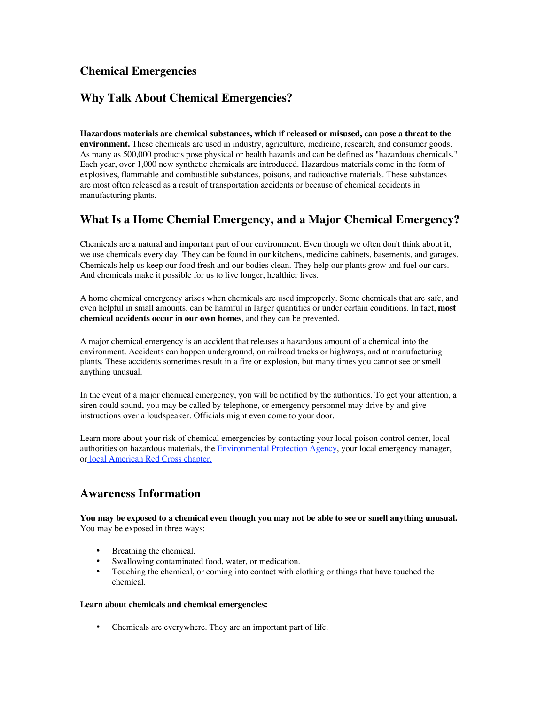# **Chemical Emergencies**

# **Why Talk About Chemical Emergencies?**

**Hazardous materials are chemical substances, which if released or misused, can pose a threat to the environment.** These chemicals are used in industry, agriculture, medicine, research, and consumer goods. As many as 500,000 products pose physical or health hazards and can be defined as "hazardous chemicals." Each year, over 1,000 new synthetic chemicals are introduced. Hazardous materials come in the form of explosives, flammable and combustible substances, poisons, and radioactive materials. These substances are most often released as a result of transportation accidents or because of chemical accidents in manufacturing plants.

# **What Is a Home Chemial Emergency, and a Major Chemical Emergency?**

Chemicals are a natural and important part of our environment. Even though we often don't think about it, we use chemicals every day. They can be found in our kitchens, medicine cabinets, basements, and garages. Chemicals help us keep our food fresh and our bodies clean. They help our plants grow and fuel our cars. And chemicals make it possible for us to live longer, healthier lives.

A home chemical emergency arises when chemicals are used improperly. Some chemicals that are safe, and even helpful in small amounts, can be harmful in larger quantities or under certain conditions. In fact, **most chemical accidents occur in our own homes**, and they can be prevented.

A major chemical emergency is an accident that releases a hazardous amount of a chemical into the environment. Accidents can happen underground, on railroad tracks or highways, and at manufacturing plants. These accidents sometimes result in a fire or explosion, but many times you cannot see or smell anything unusual.

In the event of a major chemical emergency, you will be notified by the authorities. To get your attention, a siren could sound, you may be called by telephone, or emergency personnel may drive by and give instructions over a loudspeaker. Officials might even come to your door.

Learn more about your risk of chemical emergencies by contacting your local poison control center, local authorities on hazardous materials, the Environmental Protection Agency, your local emergency manager, or local American Red Cross chapter. !

# **Awareness Information**

**You may be exposed to a chemical even though you may not be able to see or smell anything unusual.** You may be exposed in three ways:

Breathing the chemical. Swallowing contaminated food, water, or medication. Touching the chemical, or coming into contact with clothing or things that have touched the chemical.

#### **Learn about chemicals and chemical emergencies:**

Chemicals are everywhere. They are an important part of life.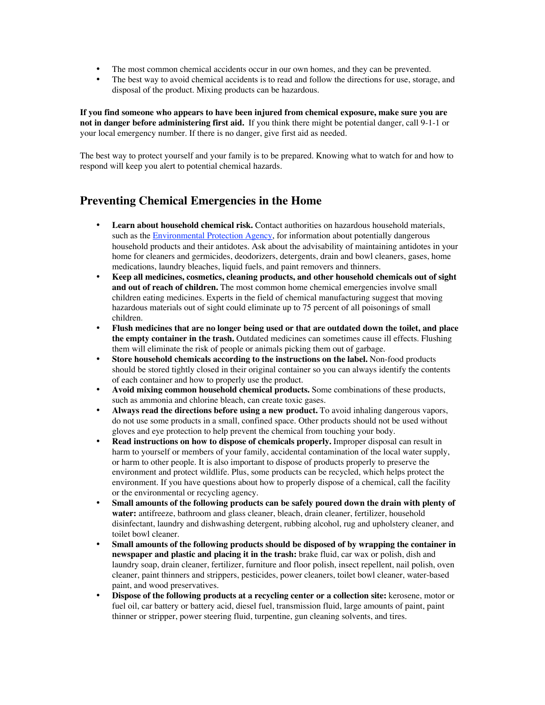The most common chemical accidents occur in our own homes, and they can be prevented. The best way to avoid chemical accidents is to read and follow the directions for use, storage, and disposal of the product. Mixing products can be hazardous.

**If you find someone who appears to have been injured from chemical exposure, make sure you are not in danger before administering first aid.!** If you think there might be potential danger, call 9-1-1 or your local emergency number. If there is no danger, give first aid as needed.

The best way to protect yourself and your family is to be prepared. Knowing what to watch for and how to respond will keep you alert to potential chemical hazards. !

### **Preventing Chemical Emergencies in the Home**

**Learn about household chemical risk.** Contact authorities on hazardous household materials, such as the **Environmental Protection Agency**, for information about potentially dangerous household products and their antidotes. Ask about the advisability of maintaining antidotes in your home for cleaners and germicides, deodorizers, detergents, drain and bowl cleaners, gases, home medications, laundry bleaches, liquid fuels, and paint removers and thinners.

**Keep all medicines, cosmetics, cleaning products, and other household chemicals out of sight and out of reach of children.** The most common home chemical emergencies involve small children eating medicines. Experts in the field of chemical manufacturing suggest that moving hazardous materials out of sight could eliminate up to 75 percent of all poisonings of small children.

**Flush medicines that are no longer being used or that are outdated down the toilet, and place the empty container in the trash.** Outdated medicines can sometimes cause ill effects. Flushing them will eliminate the risk of people or animals picking them out of garbage.

**Store household chemicals according to the instructions on the label.** Non-food products should be stored tightly closed in their original container so you can always identify the contents of each container and how to properly use the product.

**Avoid mixing common household chemical products.** Some combinations of these products, such as ammonia and chlorine bleach, can create toxic gases.

**Always read the directions before using a new product.** To avoid inhaling dangerous vapors, do not use some products in a small, confined space. Other products should not be used without gloves and eye protection to help prevent the chemical from touching your body.

**Read instructions on how to dispose of chemicals properly.** Improper disposal can result in harm to yourself or members of your family, accidental contamination of the local water supply, or harm to other people. It is also important to dispose of products properly to preserve the environment and protect wildlife. Plus, some products can be recycled, which helps protect the environment. If you have questions about how to properly dispose of a chemical, call the facility or the environmental or recycling agency.

**Small amounts of the following products can be safely poured down the drain with plenty of water:** antifreeze, bathroom and glass cleaner, bleach, drain cleaner, fertilizer, household disinfectant, laundry and dishwashing detergent, rubbing alcohol, rug and upholstery cleaner, and toilet bowl cleaner.

**Small amounts of the following products should be disposed of by wrapping the container in newspaper and plastic and placing it in the trash:** brake fluid, car wax or polish, dish and laundry soap, drain cleaner, fertilizer, furniture and floor polish, insect repellent, nail polish, oven cleaner, paint thinners and strippers, pesticides, power cleaners, toilet bowl cleaner, water-based paint, and wood preservatives.

**Dispose of the following products at a recycling center or a collection site:** kerosene, motor or fuel oil, car battery or battery acid, diesel fuel, transmission fluid, large amounts of paint, paint thinner or stripper, power steering fluid, turpentine, gun cleaning solvents, and tires.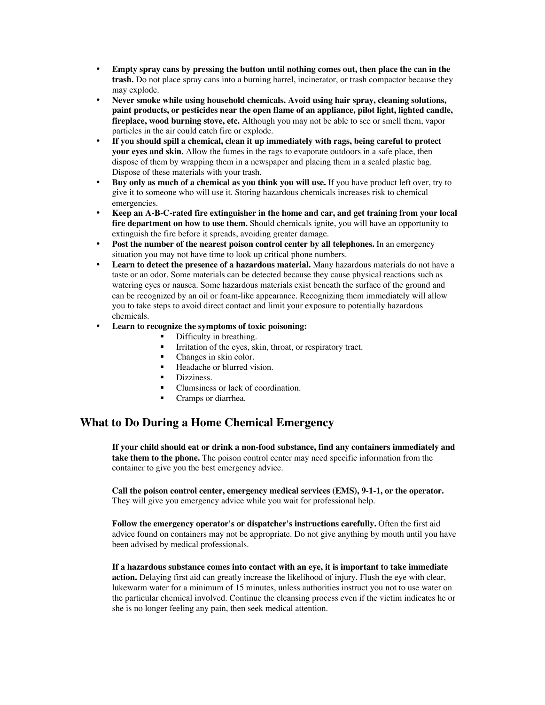**Empty spray cans by pressing the button until nothing comes out, then place the can in the trash.** Do not place spray cans into a burning barrel, incinerator, or trash compactor because they may explode.

**Never smoke while using household chemicals. Avoid using hair spray, cleaning solutions, paint products, or pesticides near the open flame of an appliance, pilot light, lighted candle, fireplace, wood burning stove, etc.** Although you may not be able to see or smell them, vapor particles in the air could catch fire or explode.

**If you should spill a chemical, clean it up immediately with rags, being careful to protect your eyes and skin.** Allow the fumes in the rags to evaporate outdoors in a safe place, then dispose of them by wrapping them in a newspaper and placing them in a sealed plastic bag. Dispose of these materials with your trash.

**Buy only as much of a chemical as you think you will use.** If you have product left over, try to give it to someone who will use it. Storing hazardous chemicals increases risk to chemical emergencies.

**Keep an A-B-C-rated fire extinguisher in the home and car, and get training from your local fire department on how to use them.** Should chemicals ignite, you will have an opportunity to extinguish the fire before it spreads, avoiding greater damage.

**Post the number of the nearest poison control center by all telephones.** In an emergency situation you may not have time to look up critical phone numbers.

**Learn to detect the presence of a hazardous material.** Many hazardous materials do not have a taste or an odor. Some materials can be detected because they cause physical reactions such as watering eyes or nausea. Some hazardous materials exist beneath the surface of the ground and can be recognized by an oil or foam-like appearance. Recognizing them immediately will allow you to take steps to avoid direct contact and limit your exposure to potentially hazardous chemicals.

#### **Learn to recognize the symptoms of toxic poisoning:**

- Difficulty in breathing.
- Irritation of the eyes, skin, throat, or respiratory tract.<br>  $\blacksquare$  Changes in skin color
- Changes in skin color.
- ß Headache or blurred vision.
- Dizziness.
- ß Clumsiness or lack of coordination.
- ß Cramps or diarrhea.

# **What to Do During a Home Chemical Emergency**

**If your child should eat or drink a non-food substance, find any containers immediately and take them to the phone.** The poison control center may need specific information from the container to give you the best emergency advice.

**Call the poison control center, emergency medical services (EMS), 9-1-1, or the operator.** They will give you emergency advice while you wait for professional help.

**Follow the emergency operator's or dispatcher's instructions carefully.** Often the first aid advice found on containers may not be appropriate. Do not give anything by mouth until you have been advised by medical professionals.

**If a hazardous substance comes into contact with an eye, it is important to take immediate action.** Delaying first aid can greatly increase the likelihood of injury. Flush the eye with clear, lukewarm water for a minimum of 15 minutes, unless authorities instruct you not to use water on the particular chemical involved. Continue the cleansing process even if the victim indicates he or she is no longer feeling any pain, then seek medical attention.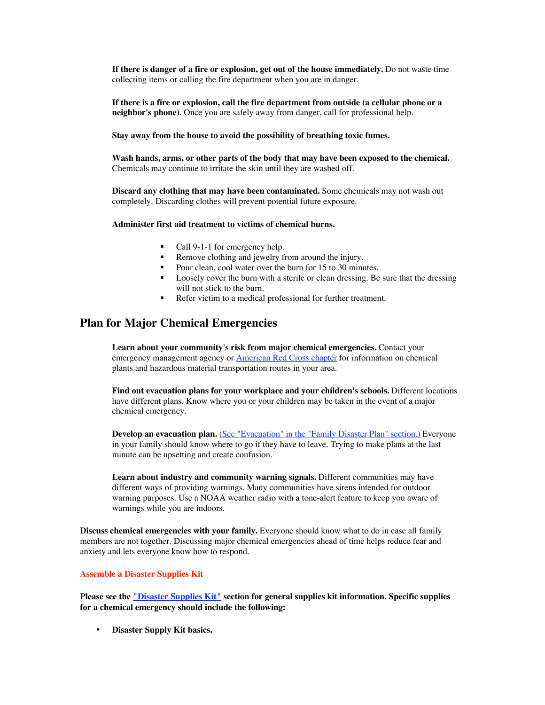**If there is danger of a fire or explosion, get out of the house immediately.** Do not waste time collecting items or calling the fire department when you are in danger.

**If there is a fire or explosion, call the fire department from outside (a cellular phone or a neighbor's phone).** Once you are safely away from danger, call for professional help.

#### **Stay away from the house to avoid the possibility of breathing toxic fumes.**

**Wash hands, arms, or other parts of the body that may have been exposed to the chemical.** Chemicals may continue to irritate the skin until they are washed off.

**Discard any clothing that may have been contaminated.** Some chemicals may not wash out completely. Discarding clothes will prevent potential future exposure.

#### **Administer first aid treatment to victims of chemical burns.**

- Call 9-1-1 for emergency help.
- Remove clothing and jewelry from around the injury.
- Pour clean, cool water over the burn for 15 to 30 minutes.
- **•** Loosely cover the burn with a sterile or clean dressing. Be sure that the dressing will not stick to the burn.
- Refer victim to a medical professional for further treatment.

### **Plan for Major Chemical Emergencies**

**Learn about your community's risk from major chemical emergencies.** Contact your emergency management agency or **American Red Cross chapter** for information on chemical plants and hazardous material transportation routes in your area.

**Find out evacuation plans for your workplace and your children's schools.** Different locations have different plans. Know where you or your children may be taken in the event of a major chemical emergency.

**Develop an evacuation plan.** (See "Evacuation" in the "Family Disaster Plan" section.) Everyone in your family should know where to go if they have to leave. Trying to make plans at the last minute can be upsetting and create confusion.

**Learn about industry and community warning signals.** Different communities may have different ways of providing warnings. Many communities have sirens intended for outdoor warning purposes. Use a NOAA weather radio with a tone-alert feature to keep you aware of warnings while you are indoors.

**Discuss chemical emergencies with your family.** Everyone should know what to do in case all family members are not together. Discussing major chemical emergencies ahead of time helps reduce fear and anxiety and lets everyone know how to respond.

#### **Assemble a Disaster Supplies Kit**

**Please see the "Disaster Supplies Kit" section for general supplies kit information. Specific supplies for a chemical emergency should include the following:**

**Disaster Supply Kit basics.**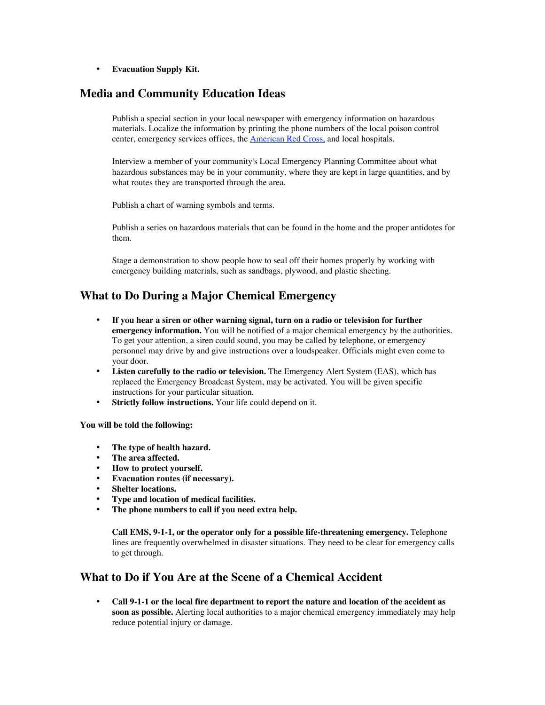**Evacuation Supply Kit.**

### **Media and Community Education Ideas**

Publish a special section in your local newspaper with emergency information on hazardous materials. Localize the information by printing the phone numbers of the local poison control center, emergency services offices, the American Red Cross, and local hospitals.

Interview a member of your community's Local Emergency Planning Committee about what hazardous substances may be in your community, where they are kept in large quantities, and by what routes they are transported through the area.

Publish a chart of warning symbols and terms.

Publish a series on hazardous materials that can be found in the home and the proper antidotes for them.

Stage a demonstration to show people how to seal off their homes properly by working with emergency building materials, such as sandbags, plywood, and plastic sheeting.

### **What to Do During a Major Chemical Emergency**

**If you hear a siren or other warning signal, turn on a radio or television for further emergency information.** You will be notified of a major chemical emergency by the authorities. To get your attention, a siren could sound, you may be called by telephone, or emergency personnel may drive by and give instructions over a loudspeaker. Officials might even come to your door.

**Listen carefully to the radio or television.** The Emergency Alert System (EAS), which has replaced the Emergency Broadcast System, may be activated. You will be given specific instructions for your particular situation.

**Strictly follow instructions.** Your life could depend on it.

#### **You will be told the following:**

**The type of health hazard. The area affected. How to protect yourself. Evacuation routes (if necessary). Shelter locations. Type and location of medical facilities. The phone numbers to call if you need extra help.**

**Call EMS, 9-1-1, or the operator only for a possible life-threatening emergency.** Telephone lines are frequently overwhelmed in disaster situations. They need to be clear for emergency calls to get through.

## **What to Do if You Are at the Scene of a Chemical Accident**

**Call 9-1-1 or the local fire department to report the nature and location of the accident as soon as possible.** Alerting local authorities to a major chemical emergency immediately may help reduce potential injury or damage.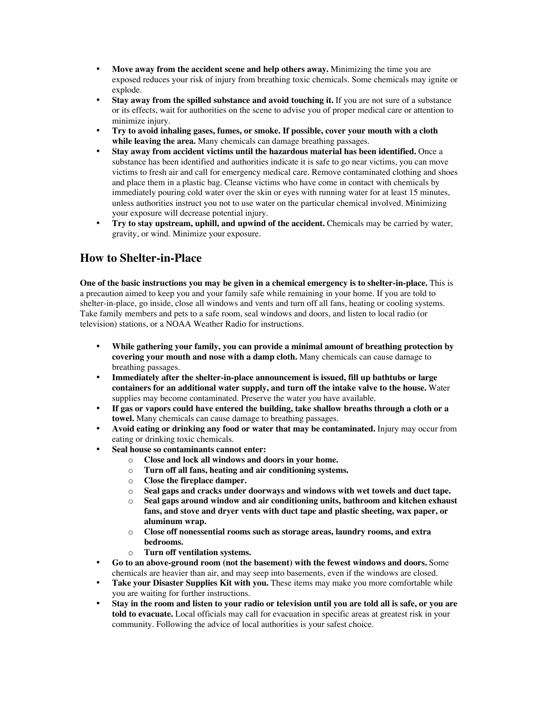**Move away from the accident scene and help others away.** Minimizing the time you are exposed reduces your risk of injury from breathing toxic chemicals. Some chemicals may ignite or explode.

**Stay away from the spilled substance and avoid touching it.** If you are not sure of a substance or its effects, wait for authorities on the scene to advise you of proper medical care or attention to minimize injury.

**Try to avoid inhaling gases, fumes, or smoke. If possible, cover your mouth with a cloth while leaving the area.** Many chemicals can damage breathing passages.

**Stay away from accident victims until the hazardous material has been identified.** Once a substance has been identified and authorities indicate it is safe to go near victims, you can move victims to fresh air and call for emergency medical care. Remove contaminated clothing and shoes and place them in a plastic bag. Cleanse victims who have come in contact with chemicals by immediately pouring cold water over the skin or eyes with running water for at least 15 minutes, unless authorities instruct you not to use water on the particular chemical involved. Minimizing your exposure will decrease potential injury.

**Try to stay upstream, uphill, and upwind of the accident.** Chemicals may be carried by water, gravity, or wind. Minimize your exposure.

## **How to Shelter-in-Place**

**One of the basic instructions you may be given in a chemical emergency is to shelter-in-place.** This is a precaution aimed to keep you and your family safe while remaining in your home. If you are told to shelter-in-place, go inside, close all windows and vents and turn off all fans, heating or cooling systems. Take family members and pets to a safe room, seal windows and doors, and listen to local radio (or television) stations, or a NOAA Weather Radio for instructions.

**While gathering your family, you can provide a minimal amount of breathing protection by covering your mouth and nose with a damp cloth.** Many chemicals can cause damage to breathing passages.

**Immediately after the shelter-in-place announcement is issued, fill up bathtubs or large containers for an additional water supply, and turn off the intake valve to the house.** Water supplies may become contaminated. Preserve the water you have available.

**If gas or vapors could have entered the building, take shallow breaths through a cloth or a towel.** Many chemicals can cause damage to breathing passages.

**Avoid eating or drinking any food or water that may be contaminated.** Injury may occur from eating or drinking toxic chemicals.

**Seal house so contaminants cannot enter:**

- o **Close and lock all windows and doors in your home.**
- o **Turn off all fans, heating and air conditioning systems.**
- o **Close the fireplace damper.**
- o **Seal gaps and cracks under doorways and windows with wet towels and duct tape.**
- o **Seal gaps around window and air conditioning units, bathroom and kitchen exhaust fans, and stove and dryer vents with duct tape and plastic sheeting, wax paper, or aluminum wrap.**
- o **Close off nonessential rooms such as storage areas, laundry rooms, and extra bedrooms.**
- o **Turn off ventilation systems.**

**Go to an above-ground room (not the basement) with the fewest windows and doors.** Some chemicals are heavier than air, and may seep into basements, even if the windows are closed. **Take your Disaster Supplies Kit with you.** These items may make you more comfortable while you are waiting for further instructions.

**Stay in the room and listen to your radio or television until you are told all is safe, or you are told to evacuate.** Local officials may call for evacuation in specific areas at greatest risk in your community. Following the advice of local authorities is your safest choice.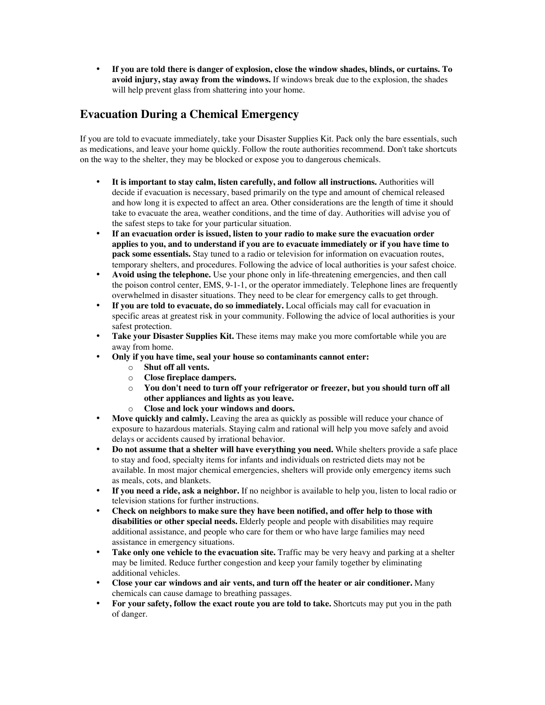**If you are told there is danger of explosion, close the window shades, blinds, or curtains. To avoid injury, stay away from the windows.** If windows break due to the explosion, the shades will help prevent glass from shattering into your home.

## **Evacuation During a Chemical Emergency**

If you are told to evacuate immediately, take your Disaster Supplies Kit. Pack only the bare essentials, such as medications, and leave your home quickly. Follow the route authorities recommend. Don't take shortcuts on the way to the shelter, they may be blocked or expose you to dangerous chemicals.

**It is important to stay calm, listen carefully, and follow all instructions.** Authorities will decide if evacuation is necessary, based primarily on the type and amount of chemical released and how long it is expected to affect an area. Other considerations are the length of time it should take to evacuate the area, weather conditions, and the time of day. Authorities will advise you of the safest steps to take for your particular situation.

**If an evacuation order is issued, listen to your radio to make sure the evacuation order applies to you, and to understand if you are to evacuate immediately or if you have time to pack some essentials.** Stay tuned to a radio or television for information on evacuation routes, temporary shelters, and procedures. Following the advice of local authorities is your safest choice. **Avoid using the telephone.** Use your phone only in life-threatening emergencies, and then call the poison control center, EMS, 9-1-1, or the operator immediately. Telephone lines are frequently overwhelmed in disaster situations. They need to be clear for emergency calls to get through. **If you are told to evacuate, do so immediately.** Local officials may call for evacuation in specific areas at greatest risk in your community. Following the advice of local authorities is your safest protection.

**Take your Disaster Supplies Kit.** These items may make you more comfortable while you are away from home.

**Only if you have time, seal your house so contaminants cannot enter:**

- o **Shut off all vents.**
- o **Close fireplace dampers.**
- o **You don't need to turn off your refrigerator or freezer, but you should turn off all other appliances and lights as you leave.**
- o **Close and lock your windows and doors.**

**Move quickly and calmly.** Leaving the area as quickly as possible will reduce your chance of exposure to hazardous materials. Staying calm and rational will help you move safely and avoid delays or accidents caused by irrational behavior.

**Do not assume that a shelter will have everything you need.** While shelters provide a safe place to stay and food, specialty items for infants and individuals on restricted diets may not be available. In most major chemical emergencies, shelters will provide only emergency items such as meals, cots, and blankets.

**If you need a ride, ask a neighbor.** If no neighbor is available to help you, listen to local radio or television stations for further instructions.

**Check on neighbors to make sure they have been notified, and offer help to those with disabilities or other special needs.** Elderly people and people with disabilities may require additional assistance, and people who care for them or who have large families may need assistance in emergency situations.

**Take only one vehicle to the evacuation site.** Traffic may be very heavy and parking at a shelter may be limited. Reduce further congestion and keep your family together by eliminating additional vehicles.

**Close your car windows and air vents, and turn off the heater or air conditioner.** Many chemicals can cause damage to breathing passages.

**For your safety, follow the exact route you are told to take.** Shortcuts may put you in the path of danger.